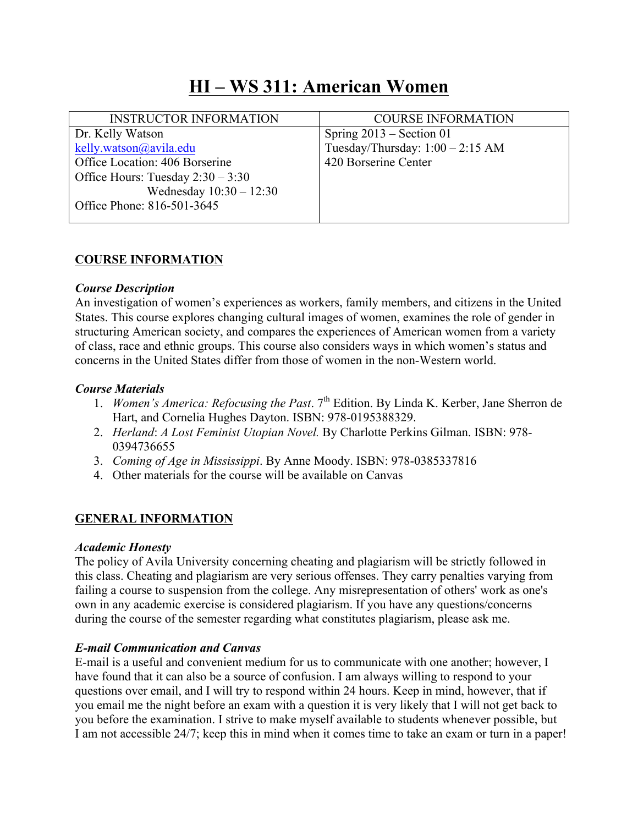# **HI – WS 311: American Women**

| <b>INSTRUCTOR INFORMATION</b>       | <b>COURSE INFORMATION</b>          |
|-------------------------------------|------------------------------------|
| Dr. Kelly Watson                    | Spring $2013$ – Section 01         |
| kelly.watson@avila.edu              | Tuesday/Thursday: $1:00 - 2:15$ AM |
| Office Location: 406 Borserine      | 420 Borserine Center               |
| Office Hours: Tuesday $2:30 - 3:30$ |                                    |
| Wednesday $10:30 - 12:30$           |                                    |
| Office Phone: 816-501-3645          |                                    |
|                                     |                                    |

## **COURSE INFORMATION**

#### *Course Description*

An investigation of women's experiences as workers, family members, and citizens in the United States. This course explores changing cultural images of women, examines the role of gender in structuring American society, and compares the experiences of American women from a variety of class, race and ethnic groups. This course also considers ways in which women's status and concerns in the United States differ from those of women in the non-Western world.

#### *Course Materials*

- 1. *Women's America: Refocusing the Past.* 7<sup>th</sup> Edition. By Linda K. Kerber, Jane Sherron de Hart, and Cornelia Hughes Dayton. ISBN: 978-0195388329.
- 2. *Herland*: *A Lost Feminist Utopian Novel.* By Charlotte Perkins Gilman. ISBN: 978- 0394736655
- 3. *Coming of Age in Mississippi*. By Anne Moody. ISBN: 978-0385337816
- 4. Other materials for the course will be available on Canvas

#### **GENERAL INFORMATION**

#### *Academic Honesty*

The policy of Avila University concerning cheating and plagiarism will be strictly followed in this class. Cheating and plagiarism are very serious offenses. They carry penalties varying from failing a course to suspension from the college. Any misrepresentation of others' work as one's own in any academic exercise is considered plagiarism. If you have any questions/concerns during the course of the semester regarding what constitutes plagiarism, please ask me.

#### *E-mail Communication and Canvas*

E-mail is a useful and convenient medium for us to communicate with one another; however, I have found that it can also be a source of confusion. I am always willing to respond to your questions over email, and I will try to respond within 24 hours. Keep in mind, however, that if you email me the night before an exam with a question it is very likely that I will not get back to you before the examination. I strive to make myself available to students whenever possible, but I am not accessible 24/7; keep this in mind when it comes time to take an exam or turn in a paper!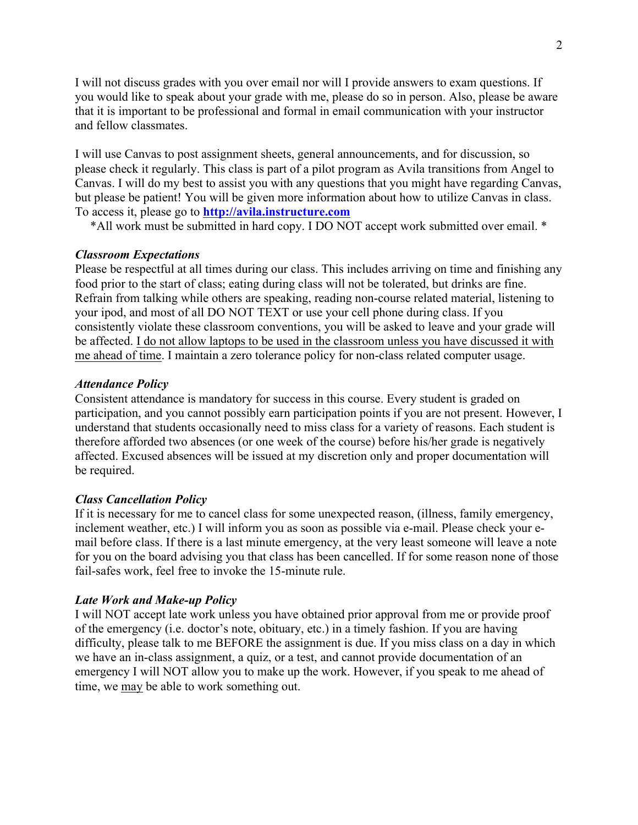I will not discuss grades with you over email nor will I provide answers to exam questions. If you would like to speak about your grade with me, please do so in person. Also, please be aware that it is important to be professional and formal in email communication with your instructor and fellow classmates.

I will use Canvas to post assignment sheets, general announcements, and for discussion, so please check it regularly. This class is part of a pilot program as Avila transitions from Angel to Canvas. I will do my best to assist you with any questions that you might have regarding Canvas, but please be patient! You will be given more information about how to utilize Canvas in class. To access it, please go to **http://avila.instructure.com**

\*All work must be submitted in hard copy. I DO NOT accept work submitted over email. \*

#### *Classroom Expectations*

Please be respectful at all times during our class. This includes arriving on time and finishing any food prior to the start of class; eating during class will not be tolerated, but drinks are fine. Refrain from talking while others are speaking, reading non-course related material, listening to your ipod, and most of all DO NOT TEXT or use your cell phone during class. If you consistently violate these classroom conventions, you will be asked to leave and your grade will be affected. I do not allow laptops to be used in the classroom unless you have discussed it with me ahead of time. I maintain a zero tolerance policy for non-class related computer usage.

#### *Attendance Policy*

Consistent attendance is mandatory for success in this course. Every student is graded on participation, and you cannot possibly earn participation points if you are not present. However, I understand that students occasionally need to miss class for a variety of reasons. Each student is therefore afforded two absences (or one week of the course) before his/her grade is negatively affected. Excused absences will be issued at my discretion only and proper documentation will be required.

#### *Class Cancellation Policy*

If it is necessary for me to cancel class for some unexpected reason, (illness, family emergency, inclement weather, etc.) I will inform you as soon as possible via e-mail. Please check your email before class. If there is a last minute emergency, at the very least someone will leave a note for you on the board advising you that class has been cancelled. If for some reason none of those fail-safes work, feel free to invoke the 15-minute rule.

#### *Late Work and Make-up Policy*

I will NOT accept late work unless you have obtained prior approval from me or provide proof of the emergency (i.e. doctor's note, obituary, etc.) in a timely fashion. If you are having difficulty, please talk to me BEFORE the assignment is due. If you miss class on a day in which we have an in-class assignment, a quiz, or a test, and cannot provide documentation of an emergency I will NOT allow you to make up the work. However, if you speak to me ahead of time, we may be able to work something out.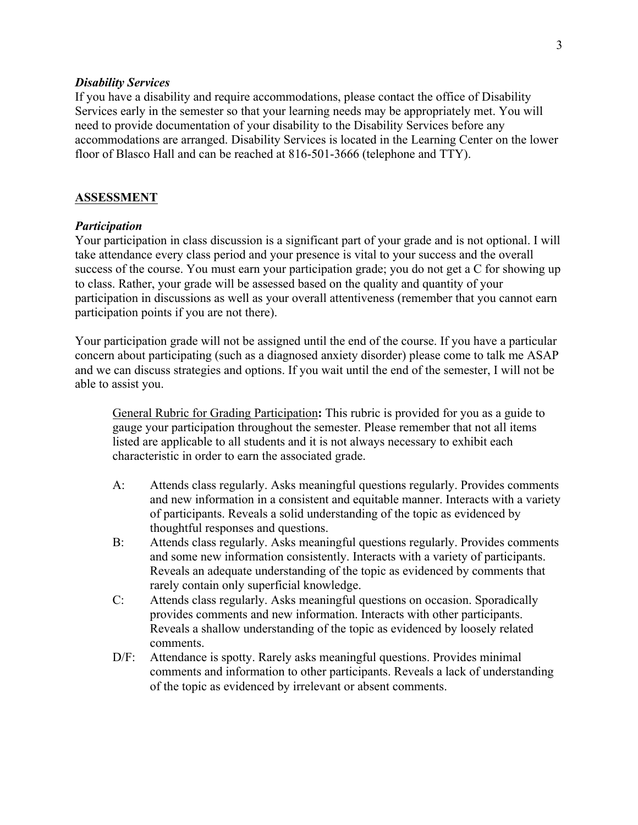#### *Disability Services*

If you have a disability and require accommodations, please contact the office of Disability Services early in the semester so that your learning needs may be appropriately met. You will need to provide documentation of your disability to the Disability Services before any accommodations are arranged. Disability Services is located in the Learning Center on the lower floor of Blasco Hall and can be reached at 816-501-3666 (telephone and TTY).

#### **ASSESSMENT**

#### *Participation*

Your participation in class discussion is a significant part of your grade and is not optional. I will take attendance every class period and your presence is vital to your success and the overall success of the course. You must earn your participation grade; you do not get a C for showing up to class. Rather, your grade will be assessed based on the quality and quantity of your participation in discussions as well as your overall attentiveness (remember that you cannot earn participation points if you are not there).

Your participation grade will not be assigned until the end of the course. If you have a particular concern about participating (such as a diagnosed anxiety disorder) please come to talk me ASAP and we can discuss strategies and options. If you wait until the end of the semester, I will not be able to assist you.

General Rubric for Grading Participation**:** This rubric is provided for you as a guide to gauge your participation throughout the semester. Please remember that not all items listed are applicable to all students and it is not always necessary to exhibit each characteristic in order to earn the associated grade.

- A: Attends class regularly. Asks meaningful questions regularly. Provides comments and new information in a consistent and equitable manner. Interacts with a variety of participants. Reveals a solid understanding of the topic as evidenced by thoughtful responses and questions.
- B: Attends class regularly. Asks meaningful questions regularly. Provides comments and some new information consistently. Interacts with a variety of participants. Reveals an adequate understanding of the topic as evidenced by comments that rarely contain only superficial knowledge.
- C: Attends class regularly. Asks meaningful questions on occasion. Sporadically provides comments and new information. Interacts with other participants. Reveals a shallow understanding of the topic as evidenced by loosely related comments.
- D/F: Attendance is spotty. Rarely asks meaningful questions. Provides minimal comments and information to other participants. Reveals a lack of understanding of the topic as evidenced by irrelevant or absent comments.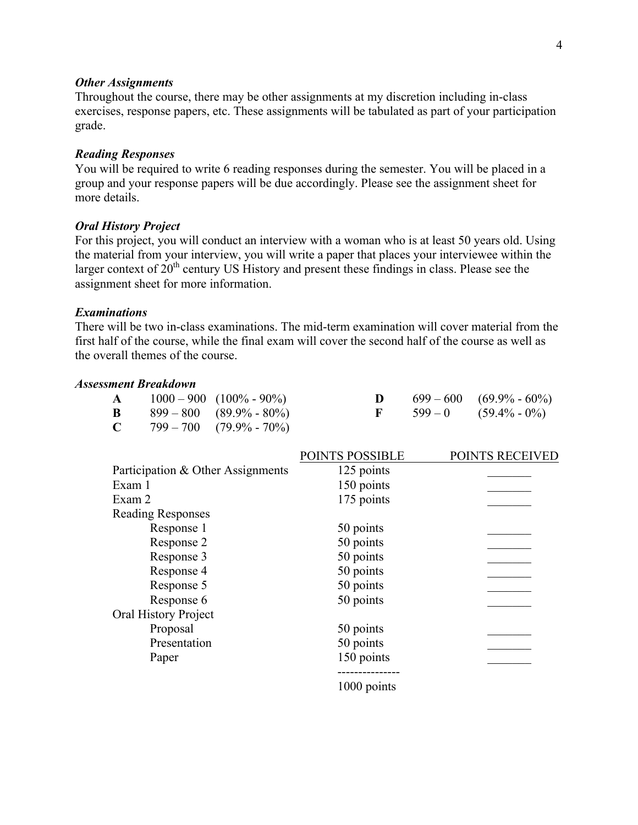#### *Other Assignments*

Throughout the course, there may be other assignments at my discretion including in-class exercises, response papers, etc. These assignments will be tabulated as part of your participation grade.

#### *Reading Responses*

You will be required to write 6 reading responses during the semester. You will be placed in a group and your response papers will be due accordingly. Please see the assignment sheet for more details.

#### *Oral History Project*

For this project, you will conduct an interview with a woman who is at least 50 years old. Using the material from your interview, you will write a paper that places your interviewee within the larger context of  $20<sup>th</sup>$  century US History and present these findings in class. Please see the assignment sheet for more information.

#### *Examinations*

There will be two in-class examinations. The mid-term examination will cover material from the first half of the course, while the final exam will cover the second half of the course as well as the overall themes of the course.

#### *Assessment Breakdown*

| $\mathbf{A}$ | $1000 - 900$ $(100\% - 90\%)$        |  | $699 - 600$ $(69.9\% - 60\%)$     |
|--------------|--------------------------------------|--|-----------------------------------|
|              | <b>B</b> $899-800$ $(89.9\% - 80\%)$ |  | $\mathbf{F}$ 599 – 0 (59.4% – 0%) |
|              | <b>C</b> $799-700$ $(79.9\% - 70\%)$ |  |                                   |

|                                   | POINTS POSSIBLE | POINTS RECEIVED |
|-----------------------------------|-----------------|-----------------|
| Participation & Other Assignments | 125 points      |                 |
| Exam 1                            | 150 points      |                 |
| Exam 2                            | 175 points      |                 |
| <b>Reading Responses</b>          |                 |                 |
| Response 1                        | 50 points       |                 |
| Response 2                        | 50 points       |                 |
| Response 3                        | 50 points       |                 |
| Response 4                        | 50 points       |                 |
| Response 5                        | 50 points       |                 |
| Response 6                        | 50 points       |                 |
| <b>Oral History Project</b>       |                 |                 |
| Proposal                          | 50 points       |                 |
| Presentation                      | 50 points       |                 |
| Paper                             | 150 points      |                 |
|                                   | 1000 points     |                 |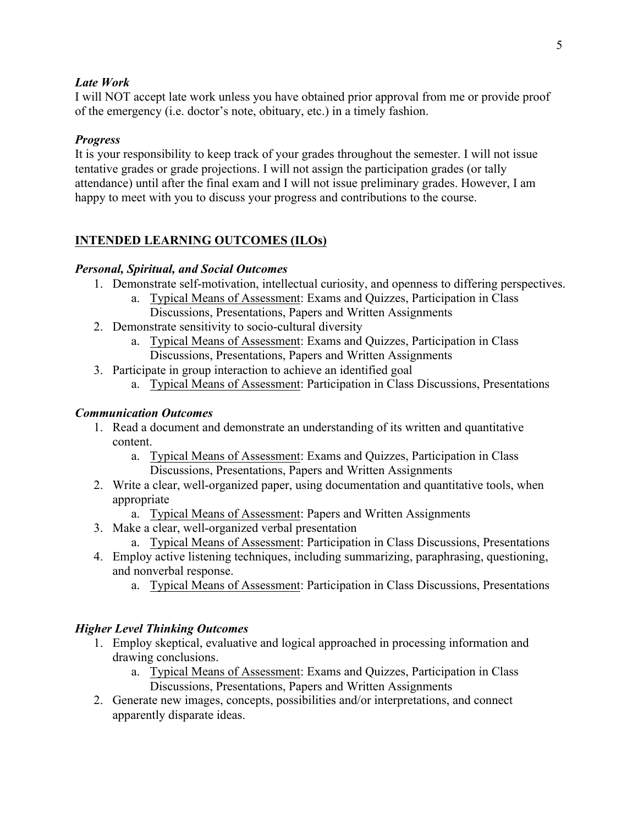## *Late Work*

I will NOT accept late work unless you have obtained prior approval from me or provide proof of the emergency (i.e. doctor's note, obituary, etc.) in a timely fashion.

## *Progress*

It is your responsibility to keep track of your grades throughout the semester. I will not issue tentative grades or grade projections. I will not assign the participation grades (or tally attendance) until after the final exam and I will not issue preliminary grades. However, I am happy to meet with you to discuss your progress and contributions to the course.

# **INTENDED LEARNING OUTCOMES (ILOs)**

## *Personal, Spiritual, and Social Outcomes*

- 1. Demonstrate self-motivation, intellectual curiosity, and openness to differing perspectives.
	- a. Typical Means of Assessment: Exams and Quizzes, Participation in Class Discussions, Presentations, Papers and Written Assignments
- 2. Demonstrate sensitivity to socio-cultural diversity
	- a. Typical Means of Assessment: Exams and Quizzes, Participation in Class Discussions, Presentations, Papers and Written Assignments
- 3. Participate in group interaction to achieve an identified goal
	- a. Typical Means of Assessment: Participation in Class Discussions, Presentations

## *Communication Outcomes*

- 1. Read a document and demonstrate an understanding of its written and quantitative content.
	- a. Typical Means of Assessment: Exams and Quizzes, Participation in Class Discussions, Presentations, Papers and Written Assignments
- 2. Write a clear, well-organized paper, using documentation and quantitative tools, when appropriate
	- a. Typical Means of Assessment: Papers and Written Assignments
- 3. Make a clear, well-organized verbal presentation
	- a. Typical Means of Assessment: Participation in Class Discussions, Presentations
- 4. Employ active listening techniques, including summarizing, paraphrasing, questioning, and nonverbal response.
	- a. Typical Means of Assessment: Participation in Class Discussions, Presentations

# *Higher Level Thinking Outcomes*

- 1. Employ skeptical, evaluative and logical approached in processing information and drawing conclusions.
	- a. Typical Means of Assessment: Exams and Quizzes, Participation in Class Discussions, Presentations, Papers and Written Assignments
- 2. Generate new images, concepts, possibilities and/or interpretations, and connect apparently disparate ideas.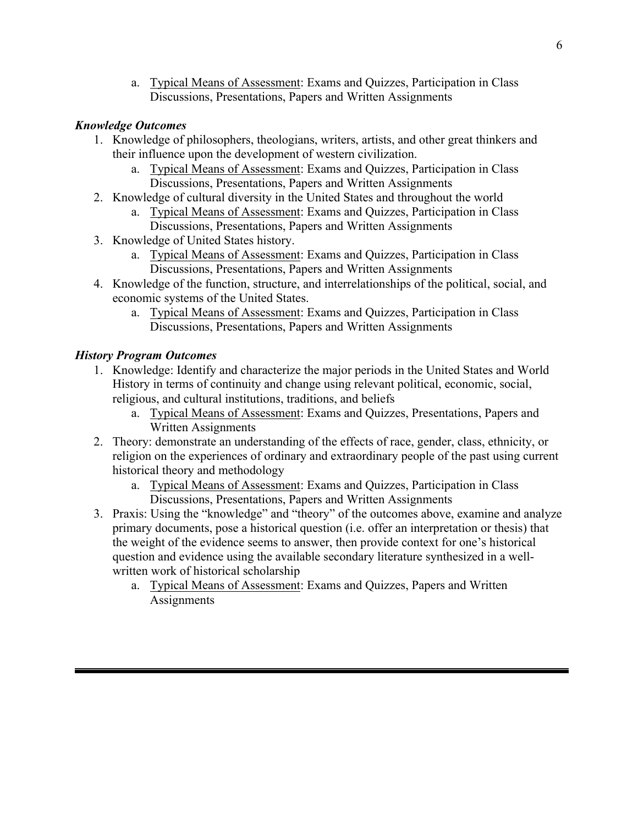a. Typical Means of Assessment: Exams and Quizzes, Participation in Class Discussions, Presentations, Papers and Written Assignments

## *Knowledge Outcomes*

- 1. Knowledge of philosophers, theologians, writers, artists, and other great thinkers and their influence upon the development of western civilization.
	- a. Typical Means of Assessment: Exams and Quizzes, Participation in Class Discussions, Presentations, Papers and Written Assignments
- 2. Knowledge of cultural diversity in the United States and throughout the world
	- a. Typical Means of Assessment: Exams and Quizzes, Participation in Class Discussions, Presentations, Papers and Written Assignments
- 3. Knowledge of United States history.
	- a. Typical Means of Assessment: Exams and Quizzes, Participation in Class Discussions, Presentations, Papers and Written Assignments
- 4. Knowledge of the function, structure, and interrelationships of the political, social, and economic systems of the United States.
	- a. Typical Means of Assessment: Exams and Quizzes, Participation in Class Discussions, Presentations, Papers and Written Assignments

# *History Program Outcomes*

- 1. Knowledge: Identify and characterize the major periods in the United States and World History in terms of continuity and change using relevant political, economic, social, religious, and cultural institutions, traditions, and beliefs
	- a. Typical Means of Assessment: Exams and Quizzes, Presentations, Papers and Written Assignments
- 2. Theory: demonstrate an understanding of the effects of race, gender, class, ethnicity, or religion on the experiences of ordinary and extraordinary people of the past using current historical theory and methodology
	- a. Typical Means of Assessment: Exams and Quizzes, Participation in Class Discussions, Presentations, Papers and Written Assignments
- 3. Praxis: Using the "knowledge" and "theory" of the outcomes above, examine and analyze primary documents, pose a historical question (i.e. offer an interpretation or thesis) that the weight of the evidence seems to answer, then provide context for one's historical question and evidence using the available secondary literature synthesized in a wellwritten work of historical scholarship
	- a. Typical Means of Assessment: Exams and Quizzes, Papers and Written **Assignments**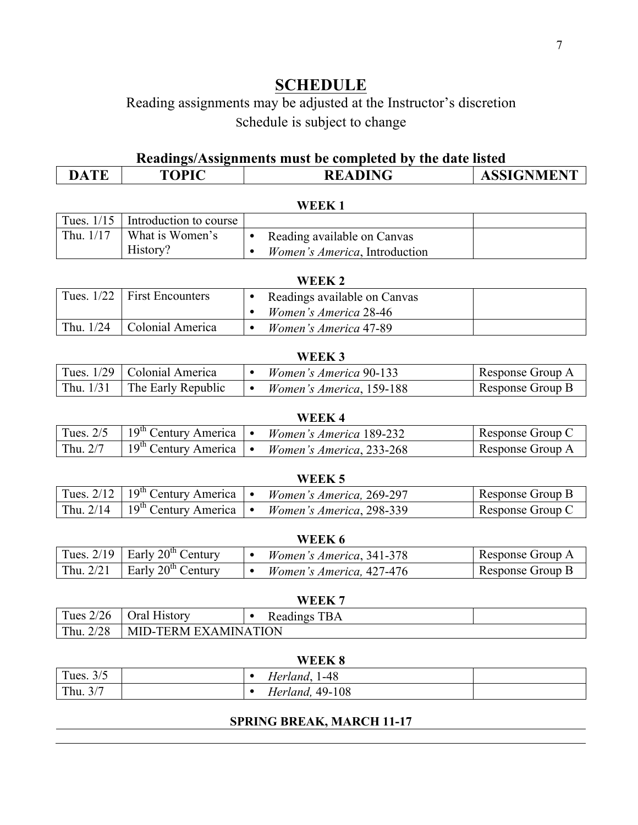# **SCHEDULE**

# Reading assignments may be adjusted at the Instructor's discretion Schedule is subject to change

# **Readings/Assignments must be completed by the date listed**

| TE               | <b>TOPIC</b> | ADING         | <b>GNMENT</b> |
|------------------|--------------|---------------|---------------|
| $\blacktriangle$ |              | <b>READIN</b> | ASSIGN        |
|                  |              |               |               |

| WEEK <sup>1</sup> |                                     |                                       |  |  |  |
|-------------------|-------------------------------------|---------------------------------------|--|--|--|
|                   | Tues. $1/15$ Introduction to course |                                       |  |  |  |
| Thu, $1/17$       | What is Women's                     | Reading available on Canvas           |  |  |  |
|                   | History?                            | <i>Women's America</i> , Introduction |  |  |  |

| WEEK 2      |                                 |                              |  |  |  |  |
|-------------|---------------------------------|------------------------------|--|--|--|--|
|             | Tues. $1/22$   First Encounters | Readings available on Canvas |  |  |  |  |
|             |                                 | Women's America 28-46        |  |  |  |  |
| Thu. $1/24$ | Colonial America                | Women's America 47-89        |  |  |  |  |

| WEEK 3      |                               |  |                               |                  |  |
|-------------|-------------------------------|--|-------------------------------|------------------|--|
|             | Tues. 1/29   Colonial America |  | <i>Women's America</i> 90-133 | Response Group A |  |
| Thu. $1/31$ | The Early Republic            |  | Women's America, 159-188      | Response Group B |  |

| WEEK 4      |                                  |  |                          |                  |  |
|-------------|----------------------------------|--|--------------------------|------------------|--|
| Tues. $2/5$ | $19th$ Century America           |  | Women's America 189-232  | Response Group C |  |
| Thu. 2/7    | 19 <sup>th</sup> Century America |  | Women's America, 233-268 | Response Group A |  |

| WEER J      |                                                |  |                          |                  |  |
|-------------|------------------------------------------------|--|--------------------------|------------------|--|
|             | Tues. $2/12$   $19^{th}$ Century America   •   |  | Women's America, 269-297 | Response Group B |  |
| Thu. $2/14$ | $\cdot$   19 <sup>th</sup> Century America   • |  | Women's America, 298-339 | Response Group C |  |

| VV EEIX V   |                                      |  |                                  |                  |  |
|-------------|--------------------------------------|--|----------------------------------|------------------|--|
|             | Tues. $2/19$ Early $20^{th}$ Century |  | Women's America, 341-378         | Response Group A |  |
| Thu. $2/21$ | Early $20th$ Century                 |  | <i>Women's America</i> , 427-476 | Response Group B |  |

| WEEK        |                      |  |              |  |  |
|-------------|----------------------|--|--------------|--|--|
| Tues $2/26$ | <b>Oral History</b>  |  | Readings TBA |  |  |
| Thu. 2/28   | MID-TERM EXAMINATION |  |              |  |  |

| WEEK 8      |  |                         |  |  |  |
|-------------|--|-------------------------|--|--|--|
| Tues. $3/5$ |  | Herland, 1-48           |  |  |  |
| Thu. $3/7$  |  | <i>Herland</i> , 49-108 |  |  |  |

# **SPRING BREAK, MARCH 11-17**

# **WEEK 5**

#### **WEEK 7**

# **WEEK 6**